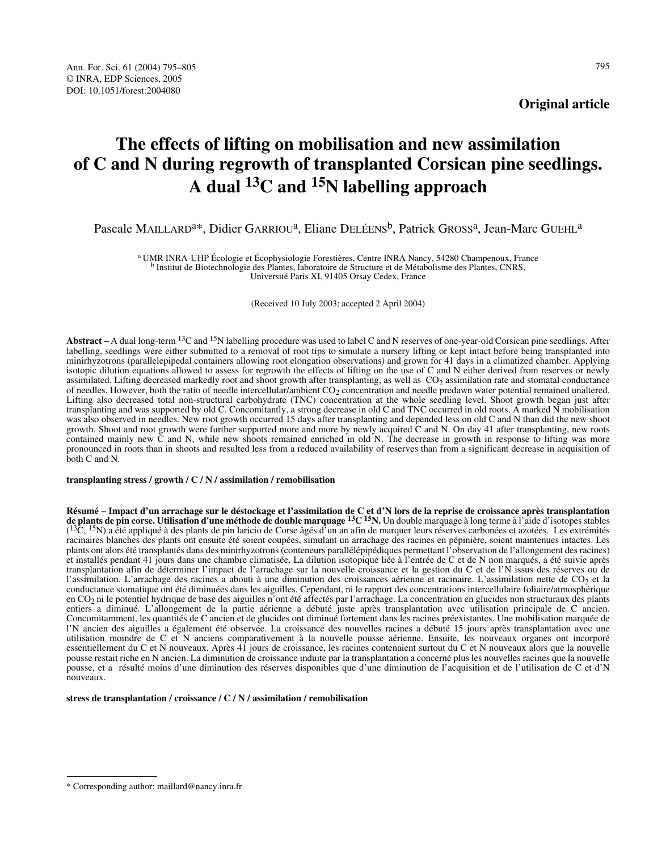# **The effects of lifting on mobilisation and new assimilation of C and N during regrowth of transplanted Corsican pine seedlings. A dual 13C and 15N labelling approach**

## Pascale MAILLARD<sup>a\*</sup>, Didier GARRIOU<sup>a</sup>, Eliane DELÉENS<sup>b</sup>, Patrick GROSS<sup>a</sup>, Jean-Marc GUEHL<sup>a</sup>

a UMR INRA-UHP Écologie et Écophysiologie Forestières, Centre INRA Nancy, 54280 Champenoux, France b Institut de Biotechnologie des Plantes, laboratoire de Structure et de Métabolisme des Plantes, CNRS, Université Paris XI, 91405 Orsay Cedex, France

(Received 10 July 2003; accepted 2 April 2004)

**Abstract –** A dual long-term 13C and 15N labelling procedure was used to label C and N reserves of one-year-old Corsican pine seedlings. After labelling, seedlings were either submitted to a removal of root tips to simulate a nursery lifting or kept intact before being transplanted into minirhyzotrons (parallelepipedal containers allowing root elongation observations) and grown for 41 days in a climatized chamber. Applying isotopic dilution equations allowed to assess for regrowth the effects of lifting on the use of C and N either derived from reserves or newly assimilated. Lifting decreased markedly root and shoot growth after transplanting, as well as  $CO<sub>2</sub>$  assimilation rate and stomatal conductance of needles. However, both the ratio of needle intercellular/ambient CO<sub>2</sub> concentration and needle predawn water potential remained unaltered. Lifting also decreased total non-structural carbohydrate (TNC) concentration at the whole seedling level. Shoot growth began just after transplanting and was supported by old C. Concomitantly, a strong decrease in old C and TNC occurred in old roots. A marked N mobilisation was also observed in needles. New root growth occurred 15 days after transplanting and depended less on old C and N than did the new shoot growth. Shoot and root growth were further supported more and more by newly acquired C and N. On day 41 after transplanting, new roots contained mainly new C and N, while new shoots remained enriched in old N. The decrease in growth in response to lifting was more pronounced in roots than in shoots and resulted less from a reduced availability of reserves than from a significant decrease in acquisition of both C and N.

**transplanting stress / growth / C / N / assimilation / remobilisation**

Résumé – Impact d'un arrachage sur le déstockage et l'assimilation de C et d'N lors de la reprise de croissance après transplantation<br>de plants de pin corse. Utilisation d'une méthode de double marquage <sup>13</sup>C <sup>15</sup>N. Un dou  $(13C, 15N)$  a été appliqué à des plants de pin laricio de Corse âgés d'un an afin de marquer leurs réserves carbonées et azotées. Les extrémités racinaires blanches des plants ont ensuite été soient coupées, simulant un arrachage des racines en pépinière, soient maintenues intactes. Les plants ont alors été transplantés dans des minirhyzotrons (conteneurs parallélépipédiques permettant l'observation de l'allongement des racines) et installés pendant 41 jours dans une chambre climatisée. La dilution isotopique liée à l'entrée de C et de N non marqués, a été suivie après transplantation afin de déterminer l'impact de l'arrachage sur la nouvelle croissance et la gestion du C et de l'N issus des réserves ou de l'assimilation. L'arrachage des racines a abouti à une diminution des croissances aérienne et racinaire. L'assimilation nette de  $CO<sub>2</sub>$  et la conductance stomatique ont été diminuées dans les aiguilles. Cependant, ni le rapport des concentrations intercellulaire foliaire/atmosphérique en CO<sub>2</sub> ni le potentiel hydrique de base des aiguilles n'ont été affectés par l'arrachage. La concentration en glucides non structuraux des plants entiers a diminué. L'allongement de la partie aérienne a débuté juste après transplantation avec utilisation principale de C ancien. Concomitamment, les quantités de C ancien et de glucides ont diminué fortement dans les racines préexistantes. Une mobilisation marquée de l'N ancien des aiguilles a également été observée. La croissance des nouvelles racines a débuté 15 jours après transplantation avec une utilisation moindre de C et N anciens comparativement à la nouvelle pousse aérienne. Ensuite, les nouveaux organes ont incorporé essentiellement du C et N nouveaux. Après 41 jours de croissance, les racines contenaient surtout du C et N nouveaux alors que la nouvelle pousse restait riche en N ancien. La diminution de croissance induite par la transplantation a concerné plus les nouvelles racines que la nouvelle pousse, et a résulté moins d'une diminution des réserves disponibles que d'une diminution de l'acquisition et de l'utilisation de C et d'N nouveaux.

**stress de transplantation / croissance / C / N / assimilation / remobilisation**

<sup>\*</sup> Corresponding author: maillard@nancy.inra.fr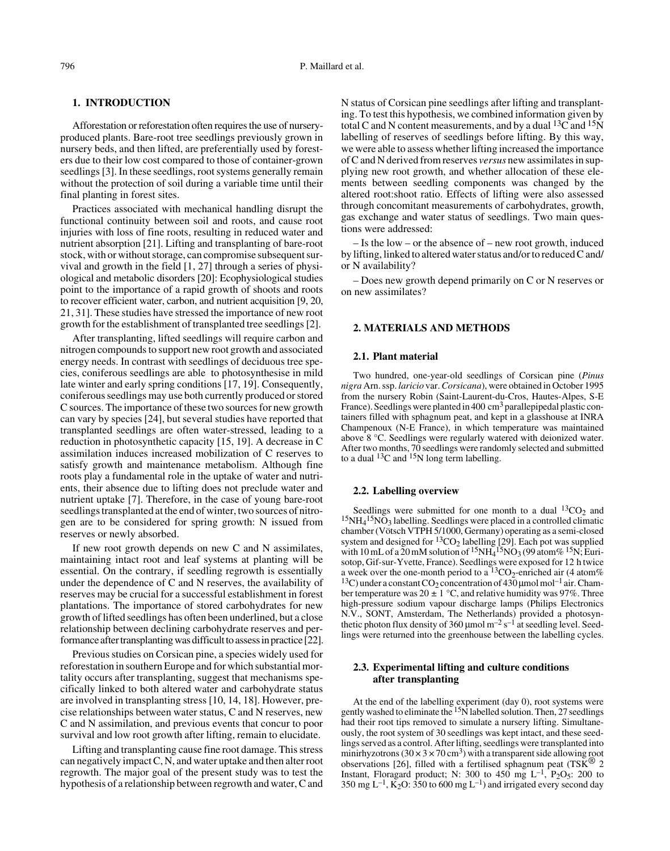## **1. INTRODUCTION**

Afforestation or reforestation often requires the use of nurseryproduced plants. Bare-root tree seedlings previously grown in nursery beds, and then lifted, are preferentially used by foresters due to their low cost compared to those of container-grown seedlings [3]. In these seedlings, root systems generally remain without the protection of soil during a variable time until their final planting in forest sites.

Practices associated with mechanical handling disrupt the functional continuity between soil and roots, and cause root injuries with loss of fine roots, resulting in reduced water and nutrient absorption [21]. Lifting and transplanting of bare-root stock, with or without storage, can compromise subsequent survival and growth in the field [1, 27] through a series of physiological and metabolic disorders [20]: Ecophysiological studies point to the importance of a rapid growth of shoots and roots to recover efficient water, carbon, and nutrient acquisition [9, 20, 21, 31]. These studies have stressed the importance of new root growth for the establishment of transplanted tree seedlings [2].

After transplanting, lifted seedlings will require carbon and nitrogen compounds to support new root growth and associated energy needs. In contrast with seedlings of deciduous tree species, coniferous seedlings are able to photosynthesise in mild late winter and early spring conditions [17, 19]. Consequently, coniferous seedlings may use both currently produced or stored C sources. The importance of these two sources for new growth can vary by species [24], but several studies have reported that transplanted seedlings are often water-stressed, leading to a reduction in photosynthetic capacity [15, 19]. A decrease in C assimilation induces increased mobilization of C reserves to satisfy growth and maintenance metabolism. Although fine roots play a fundamental role in the uptake of water and nutrients, their absence due to lifting does not preclude water and nutrient uptake [7]. Therefore, in the case of young bare-root seedlings transplanted at the end of winter, two sources of nitrogen are to be considered for spring growth: N issued from reserves or newly absorbed.

If new root growth depends on new C and N assimilates, maintaining intact root and leaf systems at planting will be essential. On the contrary, if seedling regrowth is essentially under the dependence of C and N reserves, the availability of reserves may be crucial for a successful establishment in forest plantations. The importance of stored carbohydrates for new growth of lifted seedlings has often been underlined, but a close relationship between declining carbohydrate reserves and performance after transplanting was difficult to assess in practice [22].

Previous studies on Corsican pine, a species widely used for reforestation in southern Europe and for which substantial mortality occurs after transplanting, suggest that mechanisms specifically linked to both altered water and carbohydrate status are involved in transplanting stress [10, 14, 18]. However, precise relationships between water status, C and N reserves, new C and N assimilation, and previous events that concur to poor survival and low root growth after lifting, remain to elucidate.

Lifting and transplanting cause fine root damage. This stress can negatively impact C, N, and water uptake and then alter root regrowth. The major goal of the present study was to test the hypothesis of a relationship between regrowth and water, C and N status of Corsican pine seedlings after lifting and transplanting. To test this hypothesis, we combined information given by total C and N content measurements, and by a dual  ${}^{13}$ C and  ${}^{15}$ N labelling of reserves of seedlings before lifting. By this way, we were able to assess whether lifting increased the importance of C and N derived from reserves *versus* new assimilates in supplying new root growth, and whether allocation of these elements between seedling components was changed by the altered root:shoot ratio. Effects of lifting were also assessed through concomitant measurements of carbohydrates, growth, gas exchange and water status of seedlings. Two main questions were addressed:

– Is the low – or the absence of – new root growth, induced by lifting, linked to altered water status and/or to reduced C and/ or N availability?

– Does new growth depend primarily on C or N reserves or on new assimilates?

## **2. MATERIALS AND METHODS**

#### **2.1. Plant material**

Two hundred, one-year-old seedlings of Corsican pine (*Pinus nigra* Arn. ssp. *laricio* var. *Corsicana*), were obtained in October 1995 from the nursery Robin (Saint-Laurent-du-Cros, Hautes-Alpes, S-E France). Seedlings were planted in 400 cm<sup>3</sup> parallepipedal plastic containers filled with sphagnum peat, and kept in a glasshouse at INRA Champenoux (N-E France), in which temperature was maintained above 8 °C. Seedlings were regularly watered with deionized water. After two months, 70 seedlings were randomly selected and submitted to a dual  ${}^{13}C$  and  ${}^{15}N$  long term labelling.

## **2.2. Labelling overview**

Seedlings were submitted for one month to a dual  ${}^{13}CO_2$  and  $15NH<sub>4</sub>15NO<sub>3</sub>$  labelling. Seedlings were placed in a controlled climatic chamber (Vötsch VTPH 5/1000, Germany) operating as a semi-closed system and designed for  ${}^{13}CO_2$  labelling [29]. Each pot was supplied with 10 mL of a 20 mM solution of  ${}^{15}NH_4{}^{15}NO_3$  (99 atom%  ${}^{15}N$ ; Eurisotop, Gif-sur-Yvette, France). Seedlings were exposed for 12 h twice a week over the one-month period to a  ${}^{13}CO_2$ -enriched air (4 atom%) <sup>13</sup>C) under a constant CO<sub>2</sub> concentration of  $430 \mu$ mol mol<sup>-1</sup> air. Chamber temperature was  $20 \pm 1$  °C, and relative humidity was 97%. Three high-pressure sodium vapour discharge lamps (Philips Electronics N.V., SONT, Amsterdam, The Netherlands) provided a photosynthetic photon flux density of 360  $\mu$ mol m<sup>-2</sup> s<sup>-1</sup> at seedling level. Seedlings were returned into the greenhouse between the labelling cycles.

## **2.3. Experimental lifting and culture conditions after transplanting**

At the end of the labelling experiment (day 0), root systems were gently washed to eliminate the <sup>15</sup>N labelled solution. Then, 27 seedlings had their root tips removed to simulate a nursery lifting. Simultaneously, the root system of 30 seedlings was kept intact, and these seedlings served as a control. After lifting, seedlings were transplanted into minirhyzotrons  $(30 \times 3 \times 70 \text{ cm}^3)$  with a transparent side allowing root observations [26], filled with a fertilised sphagnum peat (TSK<sup>®</sup> 2 Instant, Floragard product; N: 300 to 450 mg  $L^{-1}$ , P<sub>2</sub>O<sub>5</sub>: 200 to 350 mg  $L^{-1}$ , K<sub>2</sub>O: 350 to 600 mg  $L^{-1}$ ) and irrigated every second day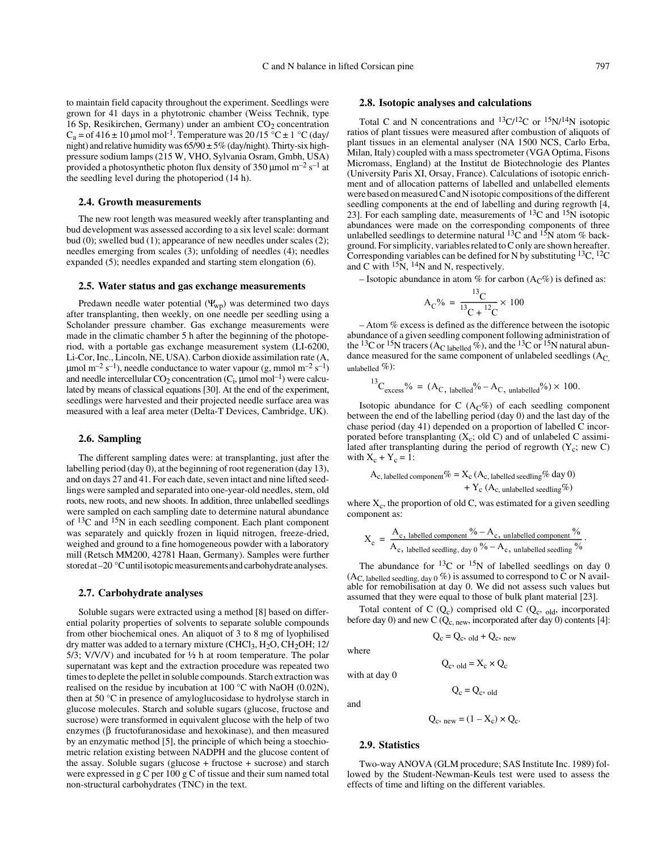to maintain field capacity throughout the experiment. Seedlings were grown for 41 days in a phytotronic chamber (Weiss Technik, type 16 Sp, Resikirchen, Germany) under an ambient  $CO<sub>2</sub>$  concentration  $C_a = of 416 \pm 10$  µmol mol<sup>-1</sup>. Temperature was 20/15 °C  $\pm$  1 °C (day/ night) and relative humidity was  $65/90 \pm 5\%$  (day/night). Thirty-six highpressure sodium lamps (215 W, VHO, Sylvania Osram, Gmbh, USA) provided a photosynthetic photon flux density of 350 µmol  $m^{-2} s^{-1}$  at the seedling level during the photoperiod (14 h).

## **2.4. Growth measurements**

The new root length was measured weekly after transplanting and bud development was assessed according to a six level scale: dormant bud (0); swelled bud (1); appearance of new needles under scales (2); needles emerging from scales (3); unfolding of needles (4); needles expanded (5); needles expanded and starting stem elongation (6).

## **2.5. Water status and gas exchange measurements**

Predawn needle water potential  $(\Psi_{wp})$  was determined two days after transplanting, then weekly, on one needle per seedling using a Scholander pressure chamber. Gas exchange measurements were made in the climatic chamber 5 h after the beginning of the photoperiod, with a portable gas exchange measurement system (LI-6200, Li-Cor, Inc., Lincoln, NE, USA). Carbon dioxide assimilation rate (A,  $\mu$ mol m<sup>-2</sup> s<sup>-1</sup>), needle conductance to water vapour (g, mmol m<sup>-2</sup> s<sup>-1</sup>) and needle intercellular  $CO_2$  concentration  $(C_i, \mu$ mol mol<sup>-1</sup>) were calculated by means of classical equations [30]. At the end of the experiment, seedlings were harvested and their projected needle surface area was measured with a leaf area meter (Delta-T Devices, Cambridge, UK).

#### **2.6. Sampling**

The different sampling dates were: at transplanting, just after the labelling period (day 0), at the beginning of root regeneration (day 13), and on days 27 and 41. For each date, seven intact and nine lifted seedlings were sampled and separated into one-year-old needles, stem, old roots, new roots, and new shoots. In addition, three unlabelled seedlings were sampled on each sampling date to determine natural abundance of 13C and 15N in each seedling component. Each plant component was separately and quickly frozen in liquid nitrogen, freeze-dried, weighed and ground to a fine homogeneous powder with a laboratory mill (Retsch MM200, 42781 Haan, Germany). Samples were further stored at –20 °C until isotopic measurements and carbohydrate analyses.

#### **2.7. Carbohydrate analyses**

Soluble sugars were extracted using a method [8] based on differential polarity properties of solvents to separate soluble compounds from other biochemical ones. An aliquot of 3 to 8 mg of lyophilised dry matter was added to a ternary mixture (CHCl<sub>3</sub>, H<sub>2</sub>O, CH<sub>2</sub>OH; 12/ 5/3; V/V/V) and incubated for ½ h at room temperature. The polar supernatant was kept and the extraction procedure was repeated two times to deplete the pellet in soluble compounds. Starch extraction was realised on the residue by incubation at 100 °C with NaOH (0.02N), then at 50 °C in presence of amyloglucosidase to hydrolyse starch in glucose molecules. Starch and soluble sugars (glucose, fructose and sucrose) were transformed in equivalent glucose with the help of two enzymes (β fructofuranosidase and hexokinase), and then measured by an enzymatic method [5], the principle of which being a stoechiometric relation existing between NADPH and the glucose content of the assay. Soluble sugars (glucose + fructose + sucrose) and starch were expressed in g C per 100 g C of tissue and their sum named total non-structural carbohydrates (TNC) in the text.

## **2.8. Isotopic analyses and calculations**

Total C and N concentrations and  ${}^{13}C/{}^{12}C$  or  ${}^{15}N/{}^{14}N$  isotopic ratios of plant tissues were measured after combustion of aliquots of plant tissues in an elemental analyser (NA 1500 NCS, Carlo Erba, Milan, Italy) coupled with a mass spectrometer (VGA Optima, Fisons Micromass, England) at the Institut de Biotechnologie des Plantes (University Paris XI, Orsay, France). Calculations of isotopic enrichment and of allocation patterns of labelled and unlabelled elements were based on measured C and N isotopic compositions of the different seedling components at the end of labelling and during regrowth [4, 23]. For each sampling date, measurements of  $13C$  and  $15N$  isotopic abundances were made on the corresponding components of three unlabelled seedlings to determine natural  ${}^{13}C$  and  ${}^{15}N$  atom % background. For simplicity, variables related to C only are shown hereafter. Corresponding variables can be defined for N by substituting  ${}^{13}C$ ,  ${}^{12}C$ and C with  $15N$ ,  $14N$  and N, respectively.

– Isotopic abundance in atom % for carbon  $(A<sub>C</sub>%)$  is defined as:

$$
A_C\% = \frac{^{13}C}{^{13}C + ^{12}C} \times 100
$$

– Atom % excess is defined as the difference between the isotopic abundance of a given seedling component following administration of the <sup>13</sup>C or <sup>15</sup>N tracers (A<sub>C labelled</sub> %), and the <sup>13</sup>C or <sup>15</sup>N natural abundance measured for the same component of unlabeled seedlings  $(A<sub>C</sub>)$ unlabelled %):

$$
{}^{13}C_{\text{excess}}\% = (A_{\text{C, labelled}}\% - A_{\text{C, unlabelled}}\% ) \times 100.
$$

Isotopic abundance for C  $(A<sub>C</sub>%)$  of each seedling component between the end of the labelling period (day 0) and the last day of the chase period (day 41) depended on a proportion of labelled C incorporated before transplanting  $(X_c; \text{ old } C)$  and of unlabeled C assimilated after transplanting during the period of regrowth  $(Y_c; new C)$ with  $X_c + Y_c = 1$ :

$$
A_{c,\text{ labelled component}}\% = X_c (A_{c,\text{ labelled seedling}}\% \text{ day 0}) + Y_c (A_{c,\text{ unlabeled seedling}}\%)
$$

where  $X_c$ , the proportion of old C, was estimated for a given seedling component as:

$$
X_c = \frac{A_c, \text{ labelled component }^{90} - A_c, \text{ unlabeled component }^{90}}{A_c, \text{ labelled seedling, day 0 }^{90} - A_c, \text{ unlabeled seedling }^{90}}
$$

.

The abundance for  $^{13}$ C or  $^{15}$ N of labelled seedlings on day 0  $(AC, \text{labelled} and \text{ordless})$  is assumed to correspond to C or N available for remobilisation at day 0. We did not assess such values but assumed that they were equal to those of bulk plant material [23].

Total content of C  $(Q_c)$  comprised old C  $(Q_c, o_{\text{ld}}, o_{\text{end}})$  incorporated before day 0) and new C ( $\overline{Q}_{c, new}$ , incorporated after day 0) contents [4]:

$$
Q_c = Q_c, \,_{old} + Q_c, \,_{new}
$$

 $Q_c$ , <sub>old</sub> =  $X_c \times Q_c$ 

with at day 0

where

and

 $Q_c = Q_c$ , old

$$
Q_c, \text{ new} = (1 - X_c) \times Q_c.
$$

#### **2.9. Statistics**

Two-way ANOVA (GLM procedure; SAS Institute Inc. 1989) followed by the Student-Newman-Keuls test were used to assess the effects of time and lifting on the different variables.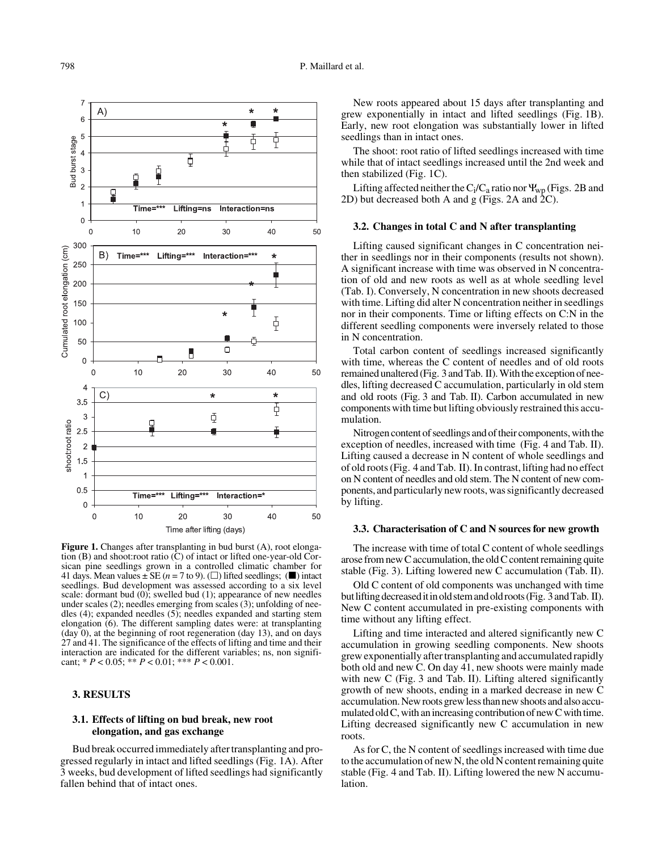

Figure 1. Changes after transplanting in bud burst (A), root elongation (B) and shoot:root ratio (C) of intact or lifted one-year-old Corsican pine seedlings grown in a controlled climatic chamber for 41 days. Mean values  $\pm$  SE (*n* = 7 to 9). ( $\square$ ) lifted seedlings; ( $\square$ ) intact seedlings. Bud development was assessed according to a six level scale: dormant bud (0); swelled bud (1); appearance of new needles under scales (2); needles emerging from scales (3); unfolding of needles (4); expanded needles (5); needles expanded and starting stem elongation (6). The different sampling dates were: at transplanting  $(\text{day } 0)$ , at the beginning of root regeneration  $(\text{day } 13)$ , and on days 27 and 41. The significance of the effects of lifting and time and their interaction are indicated for the different variables; ns, non significant; \* *P* < 0.05; \*\* *P* < 0.01; \*\*\* *P* < 0.001.

## **3. RESULTS**

## **3.1. Effects of lifting on bud break, new root elongation, and gas exchange**

Bud break occurred immediately after transplanting and progressed regularly in intact and lifted seedlings (Fig. 1A). After 3 weeks, bud development of lifted seedlings had significantly fallen behind that of intact ones.

New roots appeared about 15 days after transplanting and grew exponentially in intact and lifted seedlings (Fig. 1B). Early, new root elongation was substantially lower in lifted seedlings than in intact ones.

The shoot: root ratio of lifted seedlings increased with time while that of intact seedlings increased until the 2nd week and then stabilized (Fig. 1C).

Lifting affected neither the  $C_i/C_a$  ratio nor  $\Psi_{\rm WD}$  (Figs. 2B and 2D) but decreased both A and g (Figs. 2A and 2C).

## **3.2. Changes in total C and N after transplanting**

Lifting caused significant changes in C concentration neither in seedlings nor in their components (results not shown). A significant increase with time was observed in N concentration of old and new roots as well as at whole seedling level (Tab. I). Conversely, N concentration in new shoots decreased with time. Lifting did alter N concentration neither in seedlings nor in their components. Time or lifting effects on C:N in the different seedling components were inversely related to those in N concentration.

Total carbon content of seedlings increased significantly with time, whereas the C content of needles and of old roots remained unaltered (Fig. 3 and Tab. II). With the exception of needles, lifting decreased C accumulation, particularly in old stem and old roots (Fig. 3 and Tab. II). Carbon accumulated in new components with time but lifting obviously restrained this accumulation.

Nitrogen content of seedlings and of their components, with the exception of needles, increased with time (Fig. 4 and Tab. II). Lifting caused a decrease in N content of whole seedlings and of old roots (Fig. 4 and Tab. II). In contrast, lifting had no effect on N content of needles and old stem. The N content of new components, and particularly new roots, was significantly decreased by lifting.

## **3.3. Characterisation of C and N sources for new growth**

The increase with time of total C content of whole seedlings arose from new C accumulation, the old C content remaining quite stable (Fig. 3). Lifting lowered new C accumulation (Tab. II).

Old C content of old components was unchanged with time but lifting decreased it in old stem and old roots (Fig. 3 and Tab. II). New C content accumulated in pre-existing components with time without any lifting effect.

Lifting and time interacted and altered significantly new C accumulation in growing seedling components. New shoots grew exponentially after transplanting and accumulated rapidly both old and new C. On day 41, new shoots were mainly made with new C (Fig. 3 and Tab. II). Lifting altered significantly growth of new shoots, ending in a marked decrease in new C accumulation. New roots grew less than new shoots and also accumulated old C, with an increasing contribution of new C with time. Lifting decreased significantly new C accumulation in new roots.

As for C, the N content of seedlings increased with time due to the accumulation of new N, the old N content remaining quite stable (Fig. 4 and Tab. II). Lifting lowered the new N accumulation.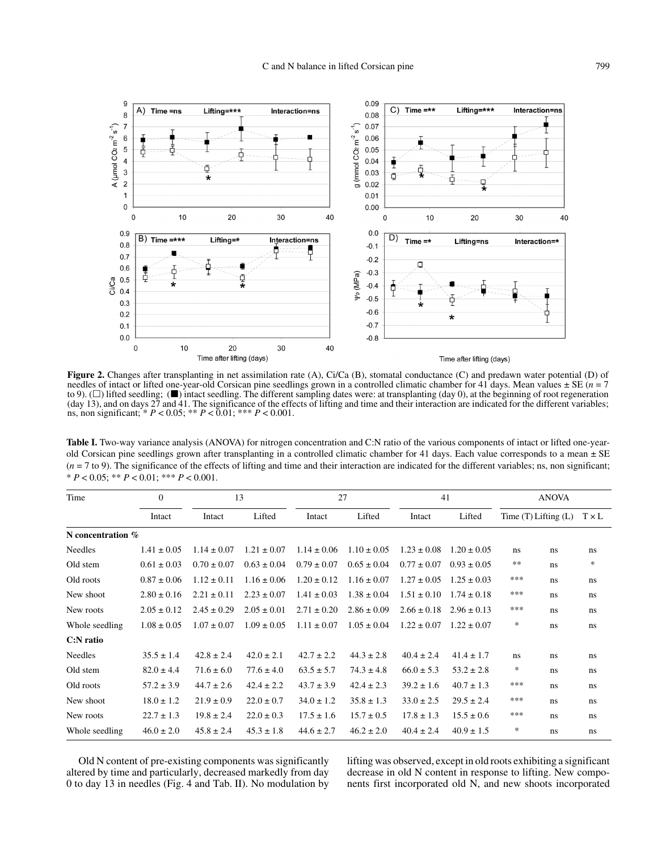

**Figure 2.** Changes after transplanting in net assimilation rate (A), Ci/Ca (B), stomatal conductance (C) and predawn water potential (D) of needles of intact or lifted one-year-old Corsican pine seedlings grown in a controlled climatic chamber for 41 days. Mean values  $\pm$  SE ( $n = 7$ ) to 9). ( $\square$ ) lifted seedling; ( $\square$ ) intact seedling. The different sampling dates were: at transplanting (day 0), at the beginning of root regeneration (day 13), and on days 27 and 41. The significance of the effects of lifting and time and their interaction are indicated for the different variables; ns, non significant; \* *P* < 0.05; \*\* *P* < 0.01; \*\*\* *P* < 0.001.

Table I. Two-way variance analysis (ANOVA) for nitrogen concentration and C:N ratio of the various components of intact or lifted one-yearold Corsican pine seedlings grown after transplanting in a controlled climatic chamber for 41 days. Each value corresponds to a mean  $\pm$  SE  $(n = 7$  to 9). The significance of the effects of lifting and time and their interaction are indicated for the different variables; ns, non significant; \* *P* < 0.05; \*\* *P* < 0.01; \*\*\* *P* < 0.001.

| Time              | $\Omega$        |                 | 13              |                 | 27              |                 | 41              | <b>ANOVA</b>             |    |              |  |
|-------------------|-----------------|-----------------|-----------------|-----------------|-----------------|-----------------|-----------------|--------------------------|----|--------------|--|
|                   | Intact          | Intact          | Lifted          | Intact          | Lifted          | Intact          | Lifted          | Time $(T)$ Lifting $(L)$ |    | $T \times L$ |  |
| N concentration % |                 |                 |                 |                 |                 |                 |                 |                          |    |              |  |
| Needles           | $1.41 \pm 0.05$ | $1.14 \pm 0.07$ | $1.21 \pm 0.07$ | $1.14 \pm 0.06$ | $1.10 \pm 0.05$ | $1.23 \pm 0.08$ | $1.20 \pm 0.05$ | ns                       | ns | ns           |  |
| Old stem          | $0.61 \pm 0.03$ | $0.70 \pm 0.07$ | $0.63 \pm 0.04$ | $0.79 \pm 0.07$ | $0.65 \pm 0.04$ | $0.77 \pm 0.07$ | $0.93 \pm 0.05$ | $\ast\ast$               | ns | $\ast$       |  |
| Old roots         | $0.87 \pm 0.06$ | $1.12 \pm 0.11$ | $1.16 \pm 0.06$ | $1.20 \pm 0.12$ | $1.16 \pm 0.07$ | $1.27 \pm 0.05$ | $1.25 \pm 0.03$ | ***                      | ns | ns           |  |
| New shoot         | $2.80 \pm 0.16$ | $2.21 \pm 0.11$ | $2.23 \pm 0.07$ | $1.41 \pm 0.03$ | $1.38 \pm 0.04$ | $1.51 \pm 0.10$ | $1.74 \pm 0.18$ | ***                      | ns | ns           |  |
| New roots         | $2.05 \pm 0.12$ | $2.45 \pm 0.29$ | $2.05 \pm 0.01$ | $2.71 \pm 0.20$ | $2.86 \pm 0.09$ | $2.66 \pm 0.18$ | $2.96 \pm 0.13$ | ***                      | ns | ns           |  |
| Whole seedling    | $1.08 \pm 0.05$ | $1.07 \pm 0.07$ | $1.09 \pm 0.05$ | $1.11 \pm 0.07$ | $1.05 \pm 0.04$ | $1.22 \pm 0.07$ | $1.22 \pm 0.07$ | *                        | ns | ns           |  |
| $C:$ N ratio      |                 |                 |                 |                 |                 |                 |                 |                          |    |              |  |
| Needles           | $35.5 \pm 1.4$  | $42.8 \pm 2.4$  | $42.0 \pm 2.1$  | $42.7 \pm 2.2$  | $44.3 \pm 2.8$  | $40.4 \pm 2.4$  | $41.4 \pm 1.7$  | ns.                      | ns | ns           |  |
| Old stem          | $82.0 \pm 4.4$  | $71.6 \pm 6.0$  | $77.6 \pm 4.0$  | $63.5 \pm 5.7$  | $74.3 \pm 4.8$  | $66.0 \pm 5.3$  | $53.2 \pm 2.8$  | *                        | ns | ns           |  |
| Old roots         | $57.2 \pm 3.9$  | $44.7 \pm 2.6$  | $42.4 \pm 2.2$  | $43.7 \pm 3.9$  | $42.4 \pm 2.3$  | $39.2 \pm 1.6$  | $40.7 \pm 1.3$  | ***                      | ns | ns           |  |
| New shoot         | $18.0 \pm 1.2$  | $21.9 \pm 0.9$  | $22.0 \pm 0.7$  | $34.0 \pm 1.2$  | $35.8 \pm 1.3$  | $33.0 \pm 2.5$  | $29.5 \pm 2.4$  | ***                      | ns | ns           |  |
| New roots         | $22.7 \pm 1.3$  | $19.8 \pm 2.4$  | $22.0 \pm 0.3$  | $17.5 \pm 1.6$  | $15.7 \pm 0.5$  | $17.8 \pm 1.3$  | $15.5 \pm 0.6$  | ***                      | ns | ns           |  |
| Whole seedling    | $46.0 \pm 2.0$  | $45.8 \pm 2.4$  | $45.3 \pm 1.8$  | $44.6 \pm 2.7$  | $46.2 \pm 2.0$  | $40.4 \pm 2.4$  | $40.9 \pm 1.5$  | *                        | ns | ns           |  |

Old N content of pre-existing components was significantly altered by time and particularly, decreased markedly from day 0 to day 13 in needles (Fig. 4 and Tab. II). No modulation by lifting was observed, except in old roots exhibiting a significant decrease in old N content in response to lifting. New components first incorporated old N, and new shoots incorporated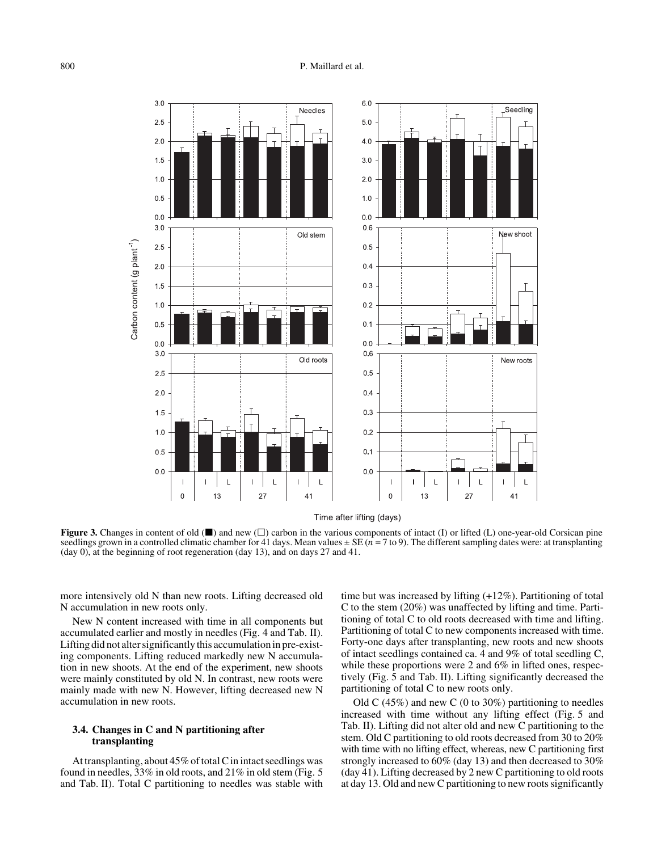## 800 P. Maillard et al.



**Figure 3.** Changes in content of old  $(\blacksquare)$  and new  $(\square)$  carbon in the various components of intact (I) or lifted (L) one-year-old Corsican pine seedlings grown in a controlled climatic chamber for 41 days. Mean values  $\pm$  SE ( $n = 7$  to 9). The different sampling dates were: at transplanting (day 0), at the beginning of root regeneration (day 13), and on days 27 and 41.

more intensively old N than new roots. Lifting decreased old N accumulation in new roots only.

New N content increased with time in all components but accumulated earlier and mostly in needles (Fig. 4 and Tab. II). Lifting did not alter significantly this accumulation in pre-existing components. Lifting reduced markedly new N accumulation in new shoots. At the end of the experiment, new shoots were mainly constituted by old N. In contrast, new roots were mainly made with new N. However, lifting decreased new N accumulation in new roots.

## **3.4. Changes in C and N partitioning after transplanting**

At transplanting, about 45% of total C in intact seedlings was found in needles, 33% in old roots, and 21% in old stem (Fig. 5 and Tab. II). Total C partitioning to needles was stable with time but was increased by lifting (+12%). Partitioning of total C to the stem (20%) was unaffected by lifting and time. Partitioning of total C to old roots decreased with time and lifting. Partitioning of total C to new components increased with time. Forty-one days after transplanting, new roots and new shoots of intact seedlings contained ca. 4 and 9% of total seedling C, while these proportions were 2 and 6% in lifted ones, respectively (Fig. 5 and Tab. II). Lifting significantly decreased the partitioning of total C to new roots only.

Old C (45%) and new C (0 to 30%) partitioning to needles increased with time without any lifting effect (Fig. 5 and Tab. II). Lifting did not alter old and new C partitioning to the stem. Old C partitioning to old roots decreased from 30 to 20% with time with no lifting effect, whereas, new C partitioning first strongly increased to 60% (day 13) and then decreased to 30% (day 41). Lifting decreased by 2 new C partitioning to old roots at day 13. Old and new C partitioning to new roots significantly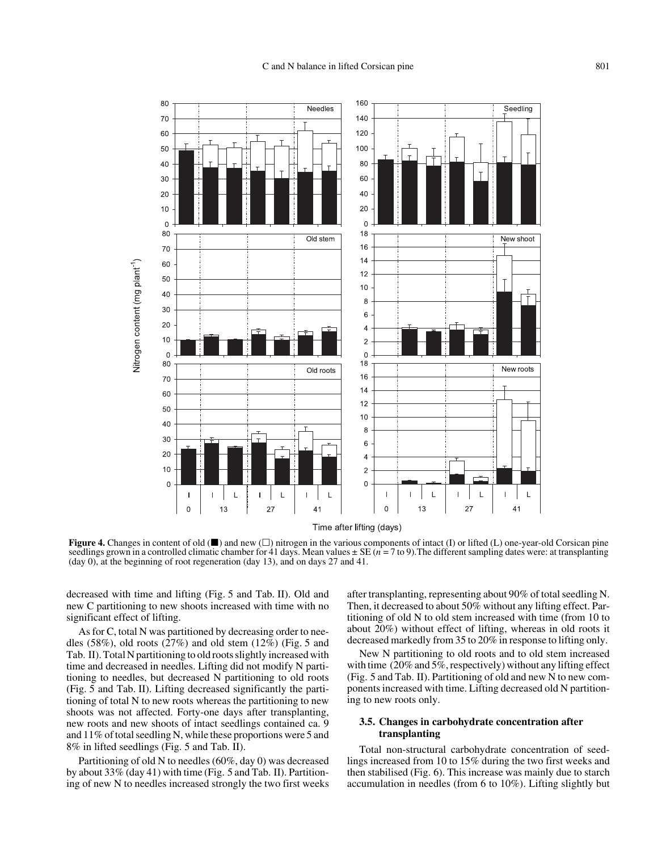

**Figure 4.** Changes in content of old  $(\blacksquare)$  and new  $(\square)$  nitrogen in the various components of intact (I) or lifted (L) one-year-old Corsican pine seedlings grown in a controlled climatic chamber for 41 days. Mean values  $\pm$  SE ( $n = 7$  to 9). The different sampling dates were: at transplanting (day 0), at the beginning of root regeneration (day 13), and on days 27 and 41.

decreased with time and lifting (Fig. 5 and Tab. II). Old and new C partitioning to new shoots increased with time with no significant effect of lifting.

As for C, total N was partitioned by decreasing order to needles  $(58\%)$ , old roots  $(27\%)$  and old stem  $(12\%)$  (Fig. 5 and Tab. II). Total N partitioning to old roots slightly increased with time and decreased in needles. Lifting did not modify N partitioning to needles, but decreased N partitioning to old roots (Fig. 5 and Tab. II). Lifting decreased significantly the partitioning of total N to new roots whereas the partitioning to new shoots was not affected. Forty-one days after transplanting, new roots and new shoots of intact seedlings contained ca. 9 and 11% of total seedling N, while these proportions were 5 and 8% in lifted seedlings (Fig. 5 and Tab. II).

Partitioning of old N to needles (60%, day 0) was decreased by about 33% (day 41) with time (Fig. 5 and Tab. II). Partitioning of new N to needles increased strongly the two first weeks after transplanting, representing about 90% of total seedling N. Then, it decreased to about 50% without any lifting effect. Partitioning of old N to old stem increased with time (from 10 to about 20%) without effect of lifting, whereas in old roots it decreased markedly from 35 to 20% in response to lifting only.

New N partitioning to old roots and to old stem increased with time (20% and 5%, respectively) without any lifting effect (Fig. 5 and Tab. II). Partitioning of old and new N to new components increased with time. Lifting decreased old N partitioning to new roots only.

## **3.5. Changes in carbohydrate concentration after transplanting**

Total non-structural carbohydrate concentration of seedlings increased from 10 to 15% during the two first weeks and then stabilised (Fig. 6). This increase was mainly due to starch accumulation in needles (from 6 to 10%). Lifting slightly but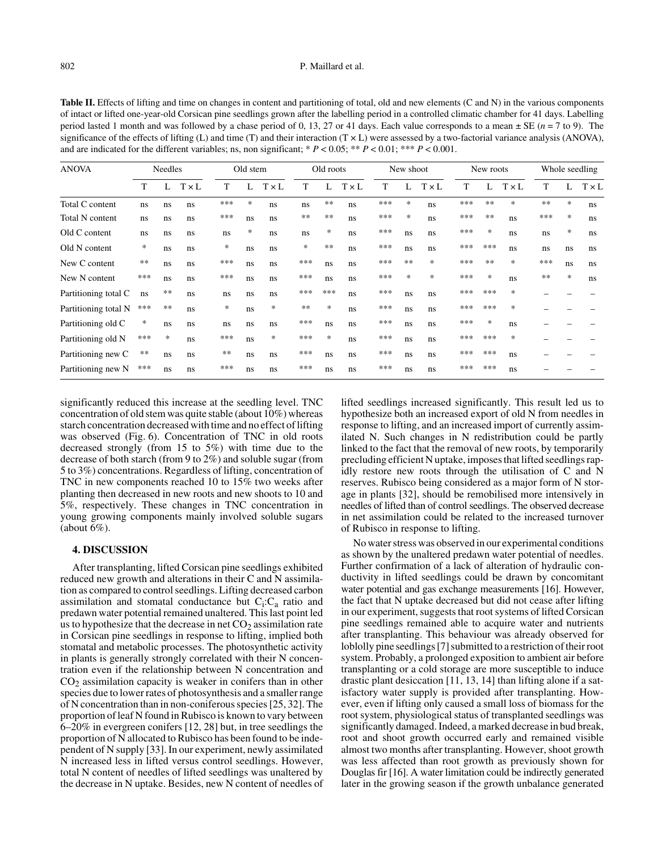## 802 P. Maillard et al.

Table II. Effects of lifting and time on changes in content and partitioning of total, old and new elements (C and N) in the various components of intact or lifted one-year-old Corsican pine seedlings grown after the labelling period in a controlled climatic chamber for 41 days. Labelling period lasted 1 month and was followed by a chase period of 0, 13, 27 or 41 days. Each value corresponds to a mean  $\pm$  SE ( $n = 7$  to 9). The significance of the effects of lifting  $(L)$  and time  $(T)$  and their interaction  $(T \times L)$  were assessed by a two-factorial variance analysis (ANOVA), and are indicated for the different variables; ns, non significant;  $* P < 0.05; ** P < 0.01; ** P < 0.001$ .

| <b>ANOVA</b>         | <b>Needles</b> |        |              | Old stem |     |              | Old roots |        |              | New shoot |        |              | New roots |        |              | Whole seedling |        |              |
|----------------------|----------------|--------|--------------|----------|-----|--------------|-----------|--------|--------------|-----------|--------|--------------|-----------|--------|--------------|----------------|--------|--------------|
|                      | T              |        | $T \times L$ | T        |     | $T \times L$ | T         | L      | $T \times L$ | T         |        | $T \times L$ | T         | L      | $T \times L$ | T              |        | $T \times L$ |
| Total C content      | ns.            | ns     | ns           | ***      | *   | ns           | ns        | **     | ns           | ***       | $\ast$ | ns           | ***       | $**$   | $\ast$       | **             | $\ast$ | ns           |
| Total N content      | ns.            | ns     | ns           | ***      | ns  | ns           | $**$      | **     | ns           | ***       | $\ast$ | ns           | ***       | $**$   | ns           | ***            | $\ast$ | ns           |
| Old C content        | ns             | ns     | ns           | ns       | ∗   | ns           | ns        | *      | ns           | ***       | ns     | ns           | ***       | *      | ns           | ns             | $\ast$ | ns           |
| Old N content        | ∗              | ns     | ns           | $\ast$   | ns  | ns           | *         | **     | ns.          | ***       | ns     | ns           | ***       | ***    | ns           | ns             | ns.    | ns           |
| New C content        | $**$           | ns     | ns           | ***      | ns  | ns           | ***       | ns     | ns           | ***       | $**$   | *            | ***       | $**$   | *            | ***            | ns     | ns           |
| New N content        | ***            | ns     | ns           | ***      | ns  | ns           | ***       | ns     | ns           | ***       | $\ast$ | $\ast$       | ***       | $\ast$ | ns           | $**$           | $\ast$ | ns           |
| Partitioning total C | ns             | $**$   | ns           | ns       | ns  | ns           | ***       | ***    | ns.          | ***       | ns     | ns           | ***       | ***    | $\ast$       |                |        |              |
| Partitioning total N | ***            | $**$   | ns           | *        | ns  | $\ast$       | **        | *      | ns           | ***       | ns     | ns           | ***       | ***    | ∗            |                |        |              |
| Partitioning old C   | ∗              | ns     | ns           | ns       | ns. | ns           | ***       | ns     | ns.          | ***       | ns     | ns           | ***       | $\ast$ | ns           |                |        |              |
| Partitioning old N   | ***            | $\ast$ | ns           | ***      | ns  | $\ast$       | ***       | $\ast$ | ns.          | ***       | ns     | ns           | ***       | ***    | $\ast$       |                |        |              |
| Partitioning new C   | $**$           | ns     | ns           | **       | ns  | ns           | ***       | ns     | ns.          | ***       | ns     | ns           | ***       | ***    | ns           |                |        |              |
| Partitioning new N   | ***            | ns     | ns           | ***      | ns  | ns           | ***       | ns     | ns           | ***       | ns     | ns           | ***       | ***    | ns           |                |        |              |

significantly reduced this increase at the seedling level. TNC concentration of old stem was quite stable (about 10%) whereas starch concentration decreased with time and no effect of lifting was observed (Fig. 6). Concentration of TNC in old roots decreased strongly (from 15 to 5%) with time due to the decrease of both starch (from 9 to 2%) and soluble sugar (from 5 to 3%) concentrations. Regardless of lifting, concentration of TNC in new components reached 10 to  $15\%$  two weeks after planting then decreased in new roots and new shoots to 10 and 5%, respectively. These changes in TNC concentration in young growing components mainly involved soluble sugars (about  $6\%$ ).

#### **4. DISCUSSION**

After transplanting, lifted Corsican pine seedlings exhibited reduced new growth and alterations in their C and N assimilation as compared to control seedlings. Lifting decreased carbon assimilation and stomatal conductance but  $C_i:C_a$  ratio and predawn water potential remained unaltered. This last point led us to hypothesize that the decrease in net  $CO<sub>2</sub>$  assimilation rate in Corsican pine seedlings in response to lifting, implied both stomatal and metabolic processes. The photosynthetic activity in plants is generally strongly correlated with their N concentration even if the relationship between N concentration and  $CO<sub>2</sub>$  assimilation capacity is weaker in conifers than in other species due to lower rates of photosynthesis and a smaller range of N concentration than in non-coniferous species [25, 32]. The proportion of leaf N found in Rubisco is known to vary between 6–20% in evergreen conifers [12, 28] but, in tree seedlings the proportion of N allocated to Rubisco has been found to be independent of N supply [33]. In our experiment, newly assimilated N increased less in lifted versus control seedlings. However, total N content of needles of lifted seedlings was unaltered by the decrease in N uptake. Besides, new N content of needles of lifted seedlings increased significantly. This result led us to hypothesize both an increased export of old N from needles in response to lifting, and an increased import of currently assimilated N. Such changes in N redistribution could be partly linked to the fact that the removal of new roots, by temporarily precluding efficient N uptake, imposes that lifted seedlings rapidly restore new roots through the utilisation of C and N reserves. Rubisco being considered as a major form of N storage in plants [32], should be remobilised more intensively in needles of lifted than of control seedlings. The observed decrease in net assimilation could be related to the increased turnover of Rubisco in response to lifting.

No water stress was observed in our experimental conditions as shown by the unaltered predawn water potential of needles. Further confirmation of a lack of alteration of hydraulic conductivity in lifted seedlings could be drawn by concomitant water potential and gas exchange measurements [16]. However, the fact that N uptake decreased but did not cease after lifting in our experiment, suggests that root systems of lifted Corsican pine seedlings remained able to acquire water and nutrients after transplanting. This behaviour was already observed for loblolly pine seedlings [7] submitted to a restriction of their root system. Probably, a prolonged exposition to ambient air before transplanting or a cold storage are more susceptible to induce drastic plant desiccation [11, 13, 14] than lifting alone if a satisfactory water supply is provided after transplanting. However, even if lifting only caused a small loss of biomass for the root system, physiological status of transplanted seedlings was significantly damaged. Indeed, a marked decrease in bud break, root and shoot growth occurred early and remained visible almost two months after transplanting. However, shoot growth was less affected than root growth as previously shown for Douglas fir [16]. A water limitation could be indirectly generated later in the growing season if the growth unbalance generated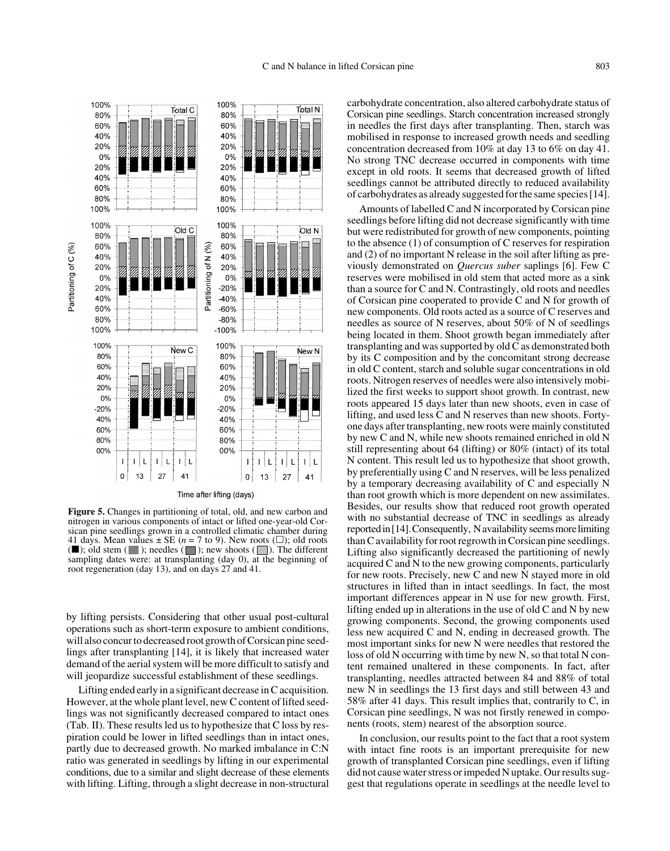

**Figure 5.** Changes in partitioning of total, old, and new carbon and nitrogen in various components of intact or lifted one-year-old Corsican pine seedlings grown in a controlled climatic chamber during 41 days. Mean values  $\pm$  SE (*n* = 7 to 9). New roots ( $\square$ ); old roots ( $\blacksquare$ ); old stem ( $\blacksquare$ ); needles ( $\blacksquare$ ); new shoots ( $\blacksquare$ ). The different sampling dates were: at transplanting (day 0), at the beginning of root regeneration (day 13), and on days 27 and 41.

by lifting persists. Considering that other usual post-cultural operations such as short-term exposure to ambient conditions, will also concur to decreased root growth of Corsican pine seedlings after transplanting [14], it is likely that increased water demand of the aerial system will be more difficult to satisfy and will jeopardize successful establishment of these seedlings.

Lifting ended early in a significant decrease in C acquisition. However, at the whole plant level, new C content of lifted seedlings was not significantly decreased compared to intact ones (Tab. II). These results led us to hypothesize that C loss by respiration could be lower in lifted seedlings than in intact ones, partly due to decreased growth. No marked imbalance in C:N ratio was generated in seedlings by lifting in our experimental conditions, due to a similar and slight decrease of these elements with lifting. Lifting, through a slight decrease in non-structural carbohydrate concentration, also altered carbohydrate status of Corsican pine seedlings. Starch concentration increased strongly in needles the first days after transplanting. Then, starch was mobilised in response to increased growth needs and seedling concentration decreased from 10% at day 13 to 6% on day 41. No strong TNC decrease occurred in components with time except in old roots. It seems that decreased growth of lifted seedlings cannot be attributed directly to reduced availability of carbohydrates as already suggested for the same species [14].

Amounts of labelled C and N incorporated by Corsican pine seedlings before lifting did not decrease significantly with time but were redistributed for growth of new components, pointing to the absence (1) of consumption of C reserves for respiration and (2) of no important N release in the soil after lifting as previously demonstrated on *Quercus suber* saplings [6]. Few C reserves were mobilised in old stem that acted more as a sink than a source for C and N. Contrastingly, old roots and needles of Corsican pine cooperated to provide C and N for growth of new components. Old roots acted as a source of C reserves and needles as source of N reserves, about 50% of N of seedlings being located in them. Shoot growth began immediately after transplanting and was supported by old C as demonstrated both by its C composition and by the concomitant strong decrease in old C content, starch and soluble sugar concentrations in old roots. Nitrogen reserves of needles were also intensively mobilized the first weeks to support shoot growth. In contrast, new roots appeared 15 days later than new shoots, even in case of lifting, and used less C and N reserves than new shoots. Fortyone days after transplanting, new roots were mainly constituted by new C and N, while new shoots remained enriched in old N still representing about 64 (lifting) or 80% (intact) of its total N content. This result led us to hypothesize that shoot growth, by preferentially using C and N reserves, will be less penalized by a temporary decreasing availability of C and especially N than root growth which is more dependent on new assimilates. Besides, our results show that reduced root growth operated with no substantial decrease of TNC in seedlings as already reported in [14]. Consequently, N availability seems more limiting than C availability for root regrowth in Corsican pine seedlings. Lifting also significantly decreased the partitioning of newly acquired C and N to the new growing components, particularly for new roots. Precisely, new C and new N stayed more in old structures in lifted than in intact seedlings. In fact, the most important differences appear in N use for new growth. First, lifting ended up in alterations in the use of old C and N by new growing components. Second, the growing components used less new acquired C and N, ending in decreased growth. The most important sinks for new N were needles that restored the loss of old N occurring with time by new N, so that total N content remained unaltered in these components. In fact, after transplanting, needles attracted between 84 and 88% of total new N in seedlings the 13 first days and still between 43 and 58% after 41 days. This result implies that, contrarily to C, in Corsican pine seedlings, N was not firstly renewed in components (roots, stem) nearest of the absorption source.

In conclusion, our results point to the fact that a root system with intact fine roots is an important prerequisite for new growth of transplanted Corsican pine seedlings, even if lifting did not cause water stress or impeded N uptake. Our results suggest that regulations operate in seedlings at the needle level to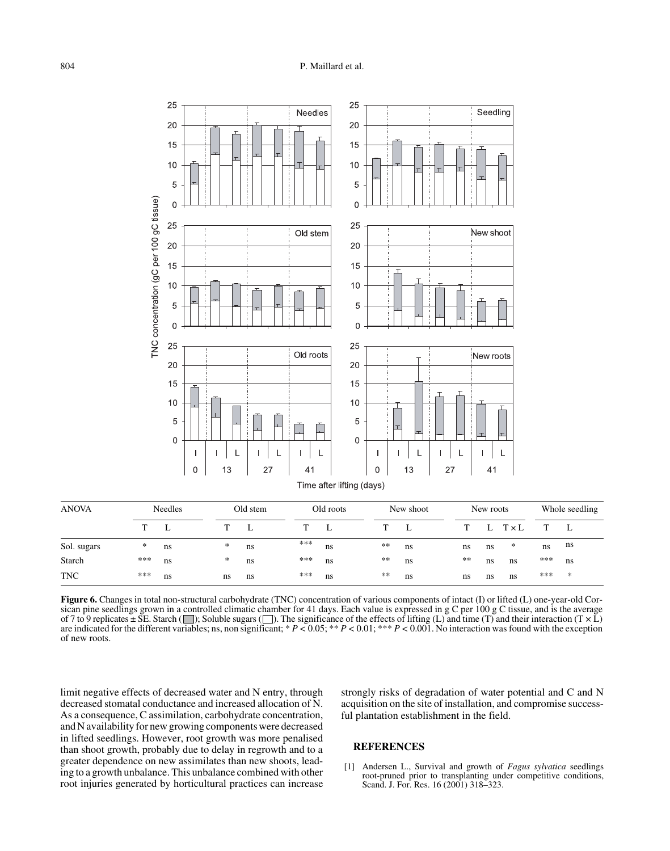

| <b>ANOVA</b> |     | Needles |  | Old stem |               | Old roots |    | New shoot |    |  | New roots |    |              |     | Whole seedling |  |  |
|--------------|-----|---------|--|----------|---------------|-----------|----|-----------|----|--|-----------|----|--------------|-----|----------------|--|--|
|              | m   |         |  |          | ┺             | т         | L  |           | L  |  | T.        | L  | $T \times L$ | T   | L              |  |  |
| Sol. sugars  | *   | ns      |  | $\ast$   | ns            | ***       | ns | $**$      | ns |  | ns        | ns | $\ast$       | ns  | ns             |  |  |
| Starch       | *** | ns      |  | $*$      | <sub>ns</sub> | ***       | ns | $***$     | ns |  | $***$     | ns | ns           | *** | ns             |  |  |
| <b>TNC</b>   | *** | ns      |  | ns       | ns            | ***       | ns | **        | ns |  | ns        | ns | ns           | *** | $\ast$         |  |  |

**Figure 6.** Changes in total non-structural carbohydrate (TNC) concentration of various components of intact (I) or lifted (L) one-year-old Corsican pine seedlings grown in a controlled climatic chamber for 41 days. Each value is expressed in g C per 100 g C tissue, and is the average of 7 to 9 replicates  $\pm$  SE. Starch ( $\Box$ ); Soluble sugars ( $\Box$ ). The significance of the effects of lifting (L) and time (T) and their interaction (T  $\times$  L) are indicated for the different variables; ns, non significant; \* *P* < 0.05; \*\* *P* < 0.01; \*\*\* *P* < 0.001. No interaction was found with the exception of new roots.

limit negative effects of decreased water and N entry, through decreased stomatal conductance and increased allocation of N. As a consequence, C assimilation, carbohydrate concentration, and N availability for new growing components were decreased in lifted seedlings. However, root growth was more penalised than shoot growth, probably due to delay in regrowth and to a greater dependence on new assimilates than new shoots, leading to a growth unbalance. This unbalance combined with other root injuries generated by horticultural practices can increase strongly risks of degradation of water potential and C and N acquisition on the site of installation, and compromise successful plantation establishment in the field.

## **REFERENCES**

[1] Andersen L., Survival and growth of *Fagus sylvatica* seedlings root-pruned prior to transplanting under competitive conditions, Scand. J. For. Res. 16 (2001) 318-323.